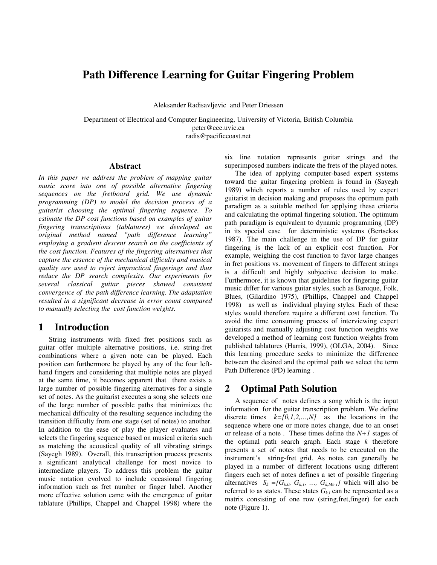# **Path Difference Learning for Guitar Fingering Problem**

Aleksander Radisavljevic and Peter Driessen

Department of Electrical and Computer Engineering, University of Victoria, British Columbia peter@ece.uvic.ca radis@pacificcoast.net

#### **Abstract**

*In this paper we address the problem of mapping guitar music score into one of possible alternative fingering sequences on the fretboard grid. We use dynamic programming (DP) to model the decision process of a guitarist choosing the optimal fingering sequence. To estimate the DP cost functions based on examples of guitar fingering transcriptions (tablatures) we developed an original method named "path difference learning" employing a gradient descent search on the coefficients of the cost function. Features of the fingering alternatives that capture the essence of the mechanical difficulty and musical quality are used to reject impractical fingerings and thus reduce the DP search complexity. Our experiments for several classical guitar pieces showed consistent convergence of the path difference learning. The adaptation resulted in a significant decrease in error count compared to manually selecting the cost function weights.*

#### **1 Introduction**

String instruments with fixed fret positions such as guitar offer multiple alternative positions, i.e. string-fret combinations where a given note can be played. Each position can furthermore be played by any of the four lefthand fingers and considering that multiple notes are played at the same time, it becomes apparent that there exists a large number of possible fingering alternatives for a single set of notes. As the guitarist executes a song she selects one of the large number of possible paths that minimizes the mechanical difficulty of the resulting sequence including the transition difficulty from one stage (set of notes) to another. In addition to the ease of play the player evaluates and selects the fingering sequence based on musical criteria such as matching the acoustical quality of all vibrating strings (Sayegh 1989). Overall, this transcription process presents a significant analytical challenge for most novice to intermediate players. To address this problem the guitar music notation evolved to include occasional fingering information such as fret number or finger label. Another more effective solution came with the emergence of guitar tablature (Phillips, Chappel and Chappel 1998) where the six line notation represents guitar strings and the superimposed numbers indicate the frets of the played notes.

The idea of applying computer-based expert systems toward the guitar fingering problem is found in (Sayegh 1989) which reports a number of rules used by expert guitarist in decision making and proposes the optimum path paradigm as a suitable method for applying these criteria and calculating the optimal fingering solution. The optimum path paradigm is equivalent to dynamic programming (DP) in its special case for deterministic systems (Bertsekas 1987). The main challenge in the use of DP for guitar fingering is the lack of an explicit cost function. For example, weighing the cost function to favor large changes in fret positions vs. movement of fingers to different strings is a difficult and highly subjective decision to make. Furthermore, it is known that guidelines for fingering guitar music differ for various guitar styles, such as Baroque, Folk, Blues, (Gilardino 1975), (Phillips, Chappel and Chappel 1998) as well as individual playing styles. Each of these styles would therefore require a different cost function. To avoid the time consuming process of interviewing expert guitarists and manually adjusting cost function weights we developed a method of learning cost function weights from published tablatures (Harris, 1999), (OLGA, 2004). Since this learning procedure seeks to minimize the difference between the desired and the optimal path we select the term Path Difference (PD) learning .

### **2 Optimal Path Solution**

A sequence of notes defines a song which is the input information for the guitar transcription problem. We define discrete times  $k=[0,1,2,...,N]$  as the locations in the sequence where one or more notes change, due to an onset or release of a note . These times define the *N+1* stages of the optimal path search graph. Each stage *k* therefore presents a set of notes that needs to be executed on the instrument's string-fret grid. As notes can generally be played in a number of different locations using different fingers each set of notes defines a set of possible fingering alternatives  $S_k = \{G_{k,0}, G_{k,1}, \ldots, G_{k,Mk-1}\}\$  which will also be referred to as states. These states  $G_{k,l}$  can be represented as a matrix consisting of one row (string,fret,finger) for each note (Figure 1).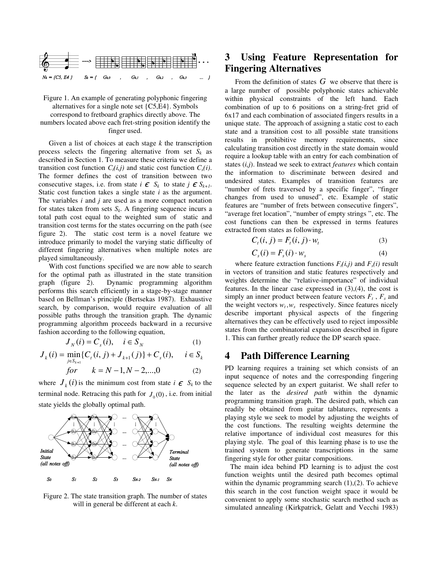

Figure 1. An example of generating polyphonic fingering alternatives for a single note set {C5,E4}. Symbols correspond to fretboard graphics directly above. The numbers located above each fret-string position identify the finger used.

Given a list of choices at each stage *k* the transcription process selects the fingering alternative from set  $S_k$  as described in Section 1. To measure these criteria we define a transition cost function  $C_i(i,j)$  and static cost function  $C_s(i)$ . The former defines the cost of transition between two consecutive stages, i.e. from state  $i \in S_k$  to state  $j \in S_{k+1}$ . Static cost function takes a single state *i* as the argument. The variables *i* and *j* are used as a more compact notation for states taken from sets  $S_k$ . A fingering sequence incurs a total path cost equal to the weighted sum of static and transition cost terms for the states occurring on the path (see figure 2). The static cost term is a novel feature we introduce primarily to model the varying static difficulty of different fingering alternatives when multiple notes are played simultaneously.

With cost functions specified we are now able to search for the optimal path as illustrated in the state transition graph (figure 2). Dynamic programming algorithm performs this search efficiently in a stage-by-stage manner based on Bellman's principle (Bertsekas 1987). Exhaustive search, by comparison, would require evaluation of all possible paths through the transition graph. The dynamic programming algorithm proceeds backward in a recursive fashion according to the following equation,

$$
J_N(i) = C_s(i), \quad i \in S_N \tag{1}
$$

$$
J_k(i) = \min_{j \in S_{k+1}} \{C_i(i, j) + J_{k+1}(j)\} + C_s(i), \quad i \in S_k
$$
  
for  $k = N-1, N-2, ..., 0$  (2)

where  $J_k(i)$  is the minimum cost from state  $i \in S_k$  to the terminal node. Retracing this path for  $J_0(0)$ , i.e. from initial state yields the globally optimal path.



Figure 2. The state transition graph. The number of states will in general be different at each *k*.

## **3 Using Feature Representation for Fingering Alternatives**

From the definition of states  $G$  we observe that there is a large number of possible polyphonic states achievable within physical constraints of the left hand. Each combination of up to 6 positions on a string-fret grid of 6x17 and each combination of associated fingers results in a unique state. The approach of assigning a static cost to each state and a transition cost to all possible state transitions results in prohibitive memory requirements, since calculating transition cost directly in the state domain would require a lookup table with an entry for each combination of states (*i,j*). Instead we seek to extract *features* which contain the information to discriminate between desired and undesired states. Examples of transition features are "number of frets traversed by a specific finger", "finger changes from used to unused", etc. Example of static features are "number of frets between consecutive fingers", "average fret location", "number of empty strings ", etc. The cost functions can then be expressed in terms features extracted from states as following,

$$
C_t(i, j) = F_t(i, j) \cdot w_t \tag{3}
$$

$$
C_s(i) = F_s(i) \cdot w_s \tag{4}
$$

where feature extraction functions  $F_t(i,j)$  and  $F_s(i)$  result in vectors of transition and static features respectively and weights determine the "relative-importance" of individual features. In the linear case expressed in  $(3)$ , $(4)$ , the cost is simply an inner product between feature vectors  $F_t$ ,  $F_s$  and the weight vectors  $w_t$ ,  $w_s$  respectively. Since features nicely describe important physical aspects of the fingering alternatives they can be effectively used to reject impossible states from the combinatorial expansion described in figure 1. This can further greatly reduce the DP search space.

## **4 Path Difference Learning**

PD learning requires a training set which consists of an input sequence of notes and the corresponding fingering sequence selected by an expert guitarist. We shall refer to the later as the *desired path* within the dynamic programming transition graph. The desired path, which can readily be obtained from guitar tablatures, represents a playing style we seek to model by adjusting the weights of the cost functions. The resulting weights determine the relative importance of individual cost measures for this playing style. The goal of this learning phase is to use the trained system to generate transcriptions in the same fingering style for other guitar compositions.

The main idea behind PD learning is to adjust the cost function weights until the desired path becomes optimal within the dynamic programming search  $(1)$ , $(2)$ . To achieve this search in the cost function weight space it would be convenient to apply some stochastic search method such as simulated annealing (Kirkpatrick, Gelatt and Vecchi 1983)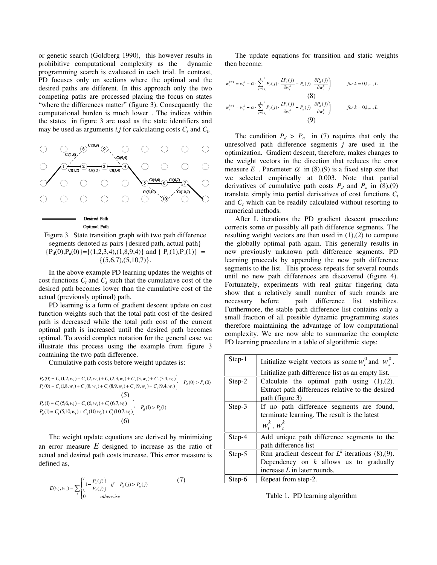or genetic search (Goldberg 1990), this however results in prohibitive computational complexity as the dynamic programming search is evaluated in each trial. In contrast, PD focuses only on sections where the optimal and the desired paths are different. In this approach only the two competing paths are processed placing the focus on states "where the differences matter" (figure 3). Consequently the computational burden is much lower . The indices within the states in figure 3 are used as the state identifiers and may be used as arguments  $i, j$  for calculating costs  $C_s$  and  $C_t$ ,



Figure 3. State transition graph with two path difference segments denoted as pairs {desired path, actual path}  ${P_d(0), P_a(0)} = {(1,2,3,4), (1,8,9,4)}$  and  ${ P_d(1), P_a(1) } =$  $\{(5,6,7),(5,10,7)\}.$ 

In the above example PD learning updates the weights of cost functions *C<sup>t</sup>* and *C<sup>s</sup>* such that the cumulative cost of the desired path becomes lower than the cumulative cost of the actual (previously optimal) path.

PD learning is a form of gradient descent update on cost function weights such that the total path cost of the desired path is decreased while the total path cost of the current optimal path is increased until the desired path becomes optimal. To avoid complex notation for the general case we illustrate this process using the example from figure 3 containing the two path difference.

Cumulative path costs before weight updates is:

$$
P_a(0) = C_r(1,2, w_r) + C_s(2, w_s) + C_r(2,3, w_r) + C_s(3, w_s) + C_r(3,4, w_r)
$$
  
\n
$$
P_a(0) = C_r(1,8, w_r) + C_s(8, w_s) + C_r(8,9, w_r) + C_s(9, w_s) + C_r(9,4, w_r)
$$
  
\n(5)  
\n
$$
P_a(1) = C_r(5,6, w_r) + C_s(6, w_s) + C_r(6,7, w_r)
$$
  
\n(5)  
\n
$$
P_a(1) = C_r(5,10, w_r) + C_s(10, w_s) + C_r(10,7, w_r)
$$
  
\n(6)

The weight update equations are derived by minimizing an error measure *E* designed to increase as the ratio of actual and desired path costs increase. This error measure is defined as,

(7)

$$
E(w_t, w_s) = \sum_j \begin{cases} \left(1 - \frac{P_a(j)}{P_a(j)}\right) & \text{if } P_a(j) > P_a(j) \\ 0 & \text{otherwise} \end{cases}
$$

The update equations for transition and static weights then become:

$$
w_{t}^{k+1} = w_{t}^{k} - \alpha \cdot \sum_{j=0}^{1} \left( P_{a}(j) \cdot \frac{\partial P_{a}(j)}{\partial w_{t}^{k}} - P_{a}(j) \cdot \frac{\partial P_{a}(j)}{\partial w_{t}^{k}} \right) \qquad \text{for } k = 0, 1, ..., L
$$
\n
$$
(8)
$$
\n
$$
w_{s}^{k+1} = w_{s}^{k} - \alpha \cdot \sum_{j=0}^{1} \left( P_{a}(j) \cdot \frac{\partial P_{a}(j)}{\partial w_{s}^{k}} - P_{a}(j) \cdot \frac{\partial P_{a}(j)}{\partial w_{s}^{k}} \right) \qquad \text{for } k = 0, 1, ..., L
$$
\n
$$
(9)
$$

The condition  $P_d > P_a$  in (7) requires that only the unresolved path difference segments *j* are used in the optimization. Gradient descent, therefore, makes changes to the weight vectors in the direction that reduces the error measure *E*. Parameter  $\alpha$  in (8),(9) is a fixed step size that we selected empirically at 0.003. Note that partial derivatives of cumulative path costs  $P_d$  and  $P_a$  in (8),(9) translate simply into partial derivatives of cost functions  $C_t$ and *C<sup>s</sup>* which can be readily calculated without resorting to numerical methods.

After L iterations the PD gradient descent procedure corrects some or possibly all path difference segments. The resulting weight vectors are then used in  $(1),(2)$  to compute the globally optimal path again. This generally results in new previously unknown path difference segments. PD learning proceeds by appending the new path difference segments to the list. This process repeats for several rounds until no new path differences are discovered (figure 4). Fortunately, experiments with real guitar fingering data show that a relatively small number of such rounds are necessary before path difference list stabilizes. Furthermore, the stable path difference list contains only a small fraction of all possible dynamic programming states therefore maintaining the advantage of low computational complexity. We are now able to summarize the complete PD learning procedure in a table of algorithmic steps:

| Step-1 | Initialize weight vectors as some $w_t^0$ and $w_s^0$ .<br>Initialize path difference list as an empty list.                    |
|--------|---------------------------------------------------------------------------------------------------------------------------------|
| Step-2 | Calculate the optimal path using $(1)$ , $(2)$ .<br>Extract path differences relative to the desired<br>path (figure 3)         |
| Step-3 | If no path difference segments are found,<br>terminate learning. The result is the latest<br>$w_t^k$ , $w_s^k$                  |
| Step-4 | Add unique path difference segments to the<br>path difference list                                                              |
| Step-5 | Run gradient descent for $L^k$ iterations (8),(9).<br>Dependency on $k$ allows us to gradually<br>increase $L$ in later rounds. |
| Step-6 | Repeat from step-2.                                                                                                             |

Table 1. PD learning algorithm